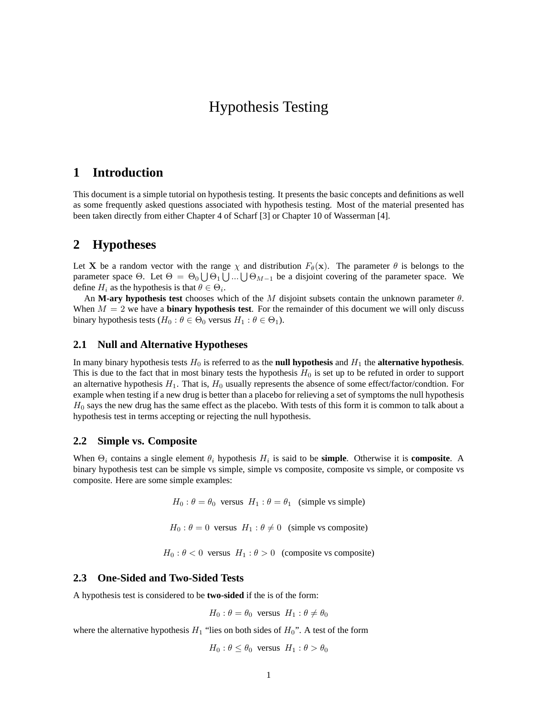# Hypothesis Testing

# **1 Introduction**

This document is a simple tutorial on hypothesis testing. It presents the basic concepts and definitions as well as some frequently asked questions associated with hypothesis testing. Most of the material presented has been taken directly from either Chapter 4 of Scharf [3] or Chapter 10 of Wasserman [4].

# **2 Hypotheses**

Let **X** be a random vector with the range  $\chi$  and distribution  $F_{\theta}(\mathbf{x})$ . The parameter  $\theta$  is belongs to the parameter space  $\Theta$ . Let  $\Theta = \Theta_0 \bigcup \Theta_1 \bigcup ... \bigcup \Theta_{M-1}$  be a disjoint covering of the parameter space. We define  $H_i$  as the hypothesis is that  $\theta \in \Theta_i$ .

An **M-ary hypothesis test** chooses which of the M disjoint subsets contain the unknown parameter θ. When  $M = 2$  we have a **binary hypothesis test**. For the remainder of this document we will only discuss binary hypothesis tests ( $H_0: \theta \in \Theta_0$  versus  $H_1: \theta \in \Theta_1$ ).

#### **2.1 Null and Alternative Hypotheses**

In many binary hypothesis tests  $H_0$  is referred to as the **null hypothesis** and  $H_1$  the **alternative hypothesis**. This is due to the fact that in most binary tests the hypothesis  $H_0$  is set up to be refuted in order to support an alternative hypothesis  $H_1$ . That is,  $H_0$  usually represents the absence of some effect/factor/condtion. For example when testing if a new drug is better than a placebo for relieving a set of symptoms the null hypothesis  $H_0$  says the new drug has the same effect as the placebo. With tests of this form it is common to talk about a hypothesis test in terms accepting or rejecting the null hypothesis.

#### **2.2 Simple vs. Composite**

When  $\Theta_i$  contains a single element  $\theta_i$  hypothesis  $H_i$  is said to be **simple**. Otherwise it is **composite**. A binary hypothesis test can be simple vs simple, simple vs composite, composite vs simple, or composite vs composite. Here are some simple examples:

 $H_0$ :  $\theta = \theta_0$  versus  $H_1$ :  $\theta = \theta_1$  (simple vs simple)

 $H_0$ :  $\theta = 0$  versus  $H_1$ :  $\theta \neq 0$  (simple vs composite)

 $H_0$ :  $\theta$  < 0 versus  $H_1$ :  $\theta$  > 0 (composite vs composite)

#### **2.3 One-Sided and Two-Sided Tests**

A hypothesis test is considered to be **two-sided** if the is of the form:

$$
H_0: \theta = \theta_0
$$
 versus  $H_1: \theta \neq \theta_0$ 

where the alternative hypothesis  $H_1$  "lies on both sides of  $H_0$ ". A test of the form

 $H_0$ :  $\theta \le \theta_0$  versus  $H_1$ :  $\theta > \theta_0$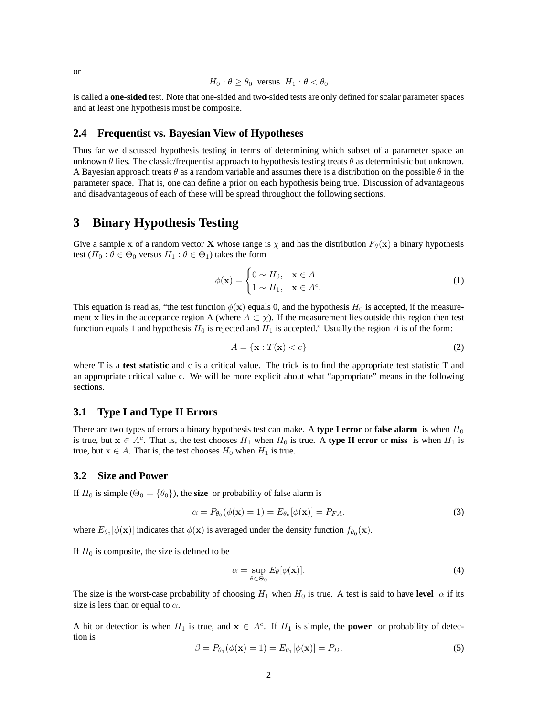is called a **one-sided** test. Note that one-sided and two-sided tests are only defined for scalar parameter spaces and at least one hypothesis must be composite.

#### **2.4 Frequentist vs. Bayesian View of Hypotheses**

Thus far we discussed hypothesis testing in terms of determining which subset of a parameter space an unknown  $\theta$  lies. The classic/frequentist approach to hypothesis testing treats  $\theta$  as deterministic but unknown. A Bayesian approach treats  $\theta$  as a random variable and assumes there is a distribution on the possible  $\theta$  in the parameter space. That is, one can define a prior on each hypothesis being true. Discussion of advantageous and disadvantageous of each of these will be spread throughout the following sections.

# **3 Binary Hypothesis Testing**

Give a sample x of a random vector X whose range is  $\chi$  and has the distribution  $F_{\theta}(\mathbf{x})$  a binary hypothesis test  $(H_0: \theta \in \Theta_0$  versus  $H_1: \theta \in \Theta_1$ ) takes the form

$$
\phi(\mathbf{x}) = \begin{cases} 0 \sim H_0, & \mathbf{x} \in A \\ 1 \sim H_1, & \mathbf{x} \in A^c, \end{cases}
$$
 (1)

This equation is read as, "the test function  $\phi(\mathbf{x})$  equals 0, and the hypothesis  $H_0$  is accepted, if the measurement x lies in the acceptance region A (where  $A \subset \chi$ ). If the measurement lies outside this region then test function equals 1 and hypothesis  $H_0$  is rejected and  $H_1$  is accepted." Usually the region A is of the form:

$$
A = \{ \mathbf{x} : T(\mathbf{x}) < c \} \tag{2}
$$

where T is a **test statistic** and c is a critical value. The trick is to find the appropriate test statistic T and an appropriate critical value c. We will be more explicit about what "appropriate" means in the following sections.

#### **3.1 Type I and Type II Errors**

There are two types of errors a binary hypothesis test can make. A **type I error** or **false alarm** is when  $H_0$ is true, but  $x \in A^c$ . That is, the test chooses  $H_1$  when  $H_0$  is true. A **type II error** or **miss** is when  $H_1$  is true, but  $x \in A$ . That is, the test chooses  $H_0$  when  $H_1$  is true.

#### **3.2 Size and Power**

If  $H_0$  is simple ( $\Theta_0 = {\theta_0}$ ), the **size** or probability of false alarm is

$$
\alpha = P_{\theta_0}(\phi(\mathbf{x}) = 1) = E_{\theta_0}[\phi(\mathbf{x})] = P_{FA}.
$$
\n(3)

where  $E_{\theta_0}[\phi(\mathbf{x})]$  indicates that  $\phi(\mathbf{x})$  is averaged under the density function  $f_{\theta_0}(\mathbf{x})$ .

If  $H_0$  is composite, the size is defined to be

$$
\alpha = \sup_{\theta \in \Theta_0} E_{\theta}[\phi(\mathbf{x})]. \tag{4}
$$

The size is the worst-case probability of choosing  $H_1$  when  $H_0$  is true. A test is said to have **level**  $\alpha$  if its size is less than or equal to  $\alpha$ .

A hit or detection is when  $H_1$  is true, and  $x \in A^c$ . If  $H_1$  is simple, the **power** or probability of detection is

$$
\beta = P_{\theta_1}(\phi(\mathbf{x}) = 1) = E_{\theta_1}[\phi(\mathbf{x})] = P_D.
$$
\n
$$
(5)
$$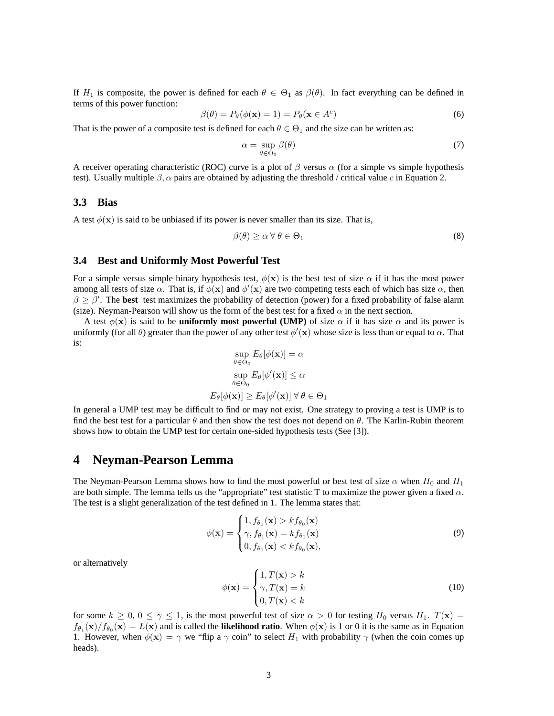If  $H_1$  is composite, the power is defined for each  $\theta \in \Theta_1$  as  $\beta(\theta)$ . In fact everything can be defined in terms of this power function:

$$
\beta(\theta) = P_{\theta}(\phi(\mathbf{x}) = 1) = P_{\theta}(\mathbf{x} \in A^c)
$$
\n(6)

That is the power of a composite test is defined for each  $\theta \in \Theta_1$  and the size can be written as:

$$
\alpha = \sup_{\theta \in \Theta_0} \beta(\theta) \tag{7}
$$

A receiver operating characteristic (ROC) curve is a plot of  $\beta$  versus  $\alpha$  (for a simple vs simple hypothesis test). Usually multiple  $\beta$ ,  $\alpha$  pairs are obtained by adjusting the threshold / critical value c in Equation 2.

#### **3.3 Bias**

A test  $\phi(\mathbf{x})$  is said to be unbiased if its power is never smaller than its size. That is,

$$
\beta(\theta) \ge \alpha \,\forall \,\theta \in \Theta_1 \tag{8}
$$

#### **3.4 Best and Uniformly Most Powerful Test**

For a simple versus simple binary hypothesis test,  $\phi(\mathbf{x})$  is the best test of size  $\alpha$  if it has the most power among all tests of size  $\alpha$ . That is, if  $\phi(\mathbf{x})$  and  $\phi'(\mathbf{x})$  are two competing tests each of which has size  $\alpha$ , then  $\beta \geq \beta'$ . The **best** test maximizes the probability of detection (power) for a fixed probability of false alarm (size). Neyman-Pearson will show us the form of the best test for a fixed  $\alpha$  in the next section.

A test  $\phi(\mathbf{x})$  is said to be **uniformly most powerful (UMP)** of size  $\alpha$  if it has size  $\alpha$  and its power is uniformly (for all  $\theta$ ) greater than the power of any other test  $\phi'(\mathbf{x})$  whose size is less than or equal to  $\alpha$ . That is:

$$
\sup_{\theta \in \Theta_0} E_{\theta}[\phi(\mathbf{x})] = \alpha
$$

$$
\sup_{\theta \in \Theta_0} E_{\theta}[\phi'(\mathbf{x})] \le \alpha
$$

$$
E_{\theta}[\phi(\mathbf{x})] \ge E_{\theta}[\phi'(\mathbf{x})] \,\forall \,\theta \in \Theta_1
$$

In general a UMP test may be difficult to find or may not exist. One strategy to proving a test is UMP is to find the best test for a particular  $\theta$  and then show the test does not depend on  $\theta$ . The Karlin-Rubin theorem shows how to obtain the UMP test for certain one-sided hypothesis tests (See [3]).

### **4 Neyman-Pearson Lemma**

The Neyman-Pearson Lemma shows how to find the most powerful or best test of size  $\alpha$  when  $H_0$  and  $H_1$ are both simple. The lemma tells us the "appropriate" test statistic T to maximize the power given a fixed  $\alpha$ . The test is a slight generalization of the test defined in 1. The lemma states that:

$$
\phi(\mathbf{x}) = \begin{cases} 1, f_{\theta_1}(\mathbf{x}) > k f_{\theta_0}(\mathbf{x}) \\ \gamma, f_{\theta_1}(\mathbf{x}) = k f_{\theta_0}(\mathbf{x}) \\ 0, f_{\theta_1}(\mathbf{x}) < k f_{\theta_0}(\mathbf{x}), \end{cases}
$$
(9)

or alternatively

$$
\phi(\mathbf{x}) = \begin{cases} 1, T(\mathbf{x}) > k \\ \gamma, T(\mathbf{x}) = k \\ 0, T(\mathbf{x}) < k \end{cases}
$$
(10)

for some  $k \geq 0$ ,  $0 \leq \gamma \leq 1$ , is the most powerful test of size  $\alpha > 0$  for testing  $H_0$  versus  $H_1$ .  $T(\mathbf{x}) =$  $f_{\theta_1}(\mathbf{x})/f_{\theta_0}(\mathbf{x}) = L(\mathbf{x})$  and is called the **likelihood ratio**. When  $\phi(\mathbf{x})$  is 1 or 0 it is the same as in Equation 1. However, when  $\phi(\mathbf{x}) = \gamma$  we "flip a  $\gamma$  coin" to select  $H_1$  with probability  $\gamma$  (when the coin comes up heads).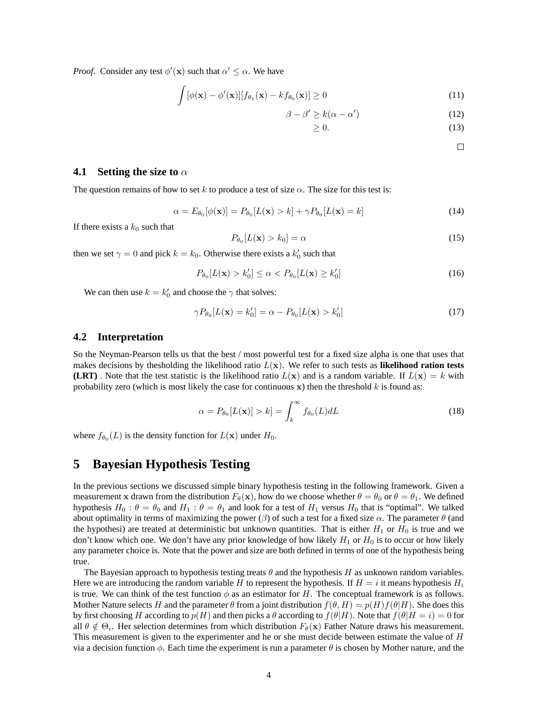*Proof.* Consider any test  $\phi'(\mathbf{x})$  such that  $\alpha' \leq \alpha$ . We have

$$
\int [\phi(\mathbf{x}) - \phi'(\mathbf{x})][f_{\theta_1}(\mathbf{x}) - kf_{\theta_0}(\mathbf{x})] \ge 0
$$
\n(11)

$$
\beta - \beta' \ge k(\alpha - \alpha')\tag{12}
$$

$$
\geq 0.\tag{13}
$$

 $\Box$ 

#### **4.1** Setting the size to  $\alpha$

The question remains of how to set k to produce a test of size  $\alpha$ . The size for this test is:

$$
\alpha = E_{\theta_0}[\phi(\mathbf{x})] = P_{\theta_0}[L(\mathbf{x}) > k] + \gamma P_{\theta_0}[L(\mathbf{x}) = k]
$$
\n(14)

If there exists a  $k_0$  such that

$$
P_{\theta_0}[L(\mathbf{x}) > k_0] = \alpha \tag{15}
$$

then we set  $\gamma = 0$  and pick  $k = k_0$ . Otherwise there exists a  $k'_0$  such that

$$
P_{\theta_0}[L(\mathbf{x}) > k'_0] \le \alpha < P_{\theta_0}[L(\mathbf{x}) \ge k'_0] \tag{16}
$$

We can then use  $k = k'_0$  and choose the  $\gamma$  that solves:

$$
\gamma P_{\theta_0}[L(\mathbf{x}) = k'_0] = \alpha - P_{\theta_0}[L(\mathbf{x}) > k'_0]
$$
\n(17)

#### **4.2 Interpretation**

So the Neyman-Pearson tells us that the best / most powerful test for a fixed size alpha is one that uses that makes decisions by thesholding the likelihood ratio  $L(\mathbf{x})$ . We refer to such tests as **likelihood ration tests (LRT)**. Note that the test statistic is the likelihood ratio  $L(\mathbf{x})$  and is a random variable. If  $L(\mathbf{x}) = k$  with probability zero (which is most likely the case for continuous  $x$ ) then the threshold  $k$  is found as:

$$
\alpha = P_{\theta_0}[L(\mathbf{x})] > k] = \int_k^{\infty} f_{\theta_0}(L) dL \tag{18}
$$

where  $f_{\theta_0}(L)$  is the density function for  $L(\mathbf{x})$  under  $H_0$ .

# **5 Bayesian Hypothesis Testing**

In the previous sections we discussed simple binary hypothesis testing in the following framework. Given a measurement x drawn from the distribution  $F_{\theta}(\mathbf{x})$ , how do we choose whether  $\theta = \theta_0$  or  $\theta = \theta_1$ . We defined hypothesis  $H_0$ :  $\theta = \theta_0$  and  $H_1$ :  $\theta = \theta_1$  and look for a test of  $H_1$  versus  $H_0$  that is "optimal". We talked about optimality in terms of maximizing the power ( $\beta$ ) of such a test for a fixed size  $\alpha$ . The parameter  $\theta$  (and the hypothesi) are treated at deterministic but unknown quantities. That is either  $H_1$  or  $H_0$  is true and we don't know which one. We don't have any prior knowledge of how likely  $H_1$  or  $H_0$  is to occur or how likely any parameter choice is. Note that the power and size are both defined in terms of one of the hypothesis being true.

The Bayesian approach to hypothesis testing treats  $\theta$  and the hypothesis H as unknown random variables. Here we are introducing the random variable H to represent the hypothesis. If  $H = i$  it means hypothesis  $H_i$ is true. We can think of the test function  $\phi$  as an estimator for H. The conceptual framework is as follows. Mother Nature selects H and the parameter  $\theta$  from a joint distribution  $f(\theta, H) = p(H)f(\theta|H)$ . She does this by first choosing H according to  $p(H)$  and then picks a  $\theta$  according to  $f(\theta|H)$ . Note that  $f(\theta|H = i) = 0$  for all  $\theta \notin \Theta_i$ . Her selection determines from which distribution  $F_{\theta}(\mathbf{x})$  Father Nature draws his measurement. This measurement is given to the experimenter and he or she must decide between estimate the value of H via a decision function  $\phi$ . Each time the experiment is run a parameter  $\theta$  is chosen by Mother nature, and the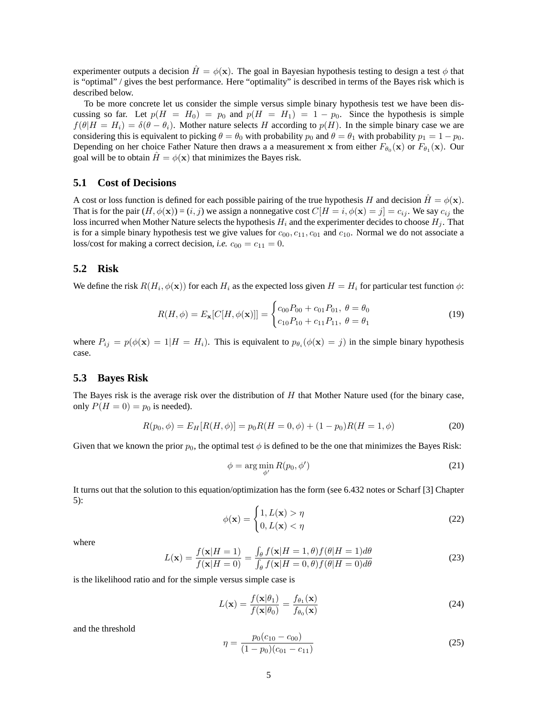experimenter outputs a decision  $\hat{H} = \phi(\mathbf{x})$ . The goal in Bayesian hypothesis testing to design a test  $\phi$  that is "optimal" / gives the best performance. Here "optimality" is described in terms of the Bayes risk which is described below.

To be more concrete let us consider the simple versus simple binary hypothesis test we have been discussing so far. Let  $p(H = H_0) = p_0$  and  $p(H = H_1) = 1 - p_0$ . Since the hypothesis is simple  $f(\theta|H = H_i) = \delta(\theta - \theta_i)$ . Mother nature selects H according to  $p(H)$ . In the simple binary case we are considering this is equivalent to picking  $\theta = \theta_0$  with probability  $p_0$  and  $\theta = \theta_1$  with probability  $p_1 = 1 - p_0$ . Depending on her choice Father Nature then draws a a measurement x from either  $F_{\theta_0}(\mathbf{x})$  or  $F_{\theta_1}(\mathbf{x})$ . Our goal will be to obtain  $H = \phi(\mathbf{x})$  that minimizes the Bayes risk.

#### **5.1 Cost of Decisions**

A cost or loss function is defined for each possible pairing of the true hypothesis H and decision  $H = \phi(\mathbf{x})$ . That is for the pair  $(H, \phi(\mathbf{x})) = (i, j)$  we assign a nonnegative cost  $C[H = i, \phi(\mathbf{x}) = j] = c_{ij}$ . We say  $c_{ij}$  the loss incurred when Mother Nature selects the hypothesis  $H_i$  and the experimenter decides to choose  $H_j$ . That is for a simple binary hypothesis test we give values for  $c_{00}$ ,  $c_{11}$ ,  $c_{01}$  and  $c_{10}$ . Normal we do not associate a loss/cost for making a correct decision, *i.e.*  $c_{00} = c_{11} = 0$ .

#### **5.2 Risk**

We define the risk  $R(H_i, \phi(\mathbf{x}))$  for each  $H_i$  as the expected loss given  $H = H_i$  for particular test function  $\phi$ :

$$
R(H,\phi) = E_{\mathbf{x}}[C[H,\phi(\mathbf{x})]] = \begin{cases} c_{00}P_{00} + c_{01}P_{01}, & \theta = \theta_0 \\ c_{10}P_{10} + c_{11}P_{11}, & \theta = \theta_1 \end{cases}
$$
(19)

where  $P_{ij} = p(\phi(\mathbf{x}) = 1 | H = H_i)$ . This is equivalent to  $p_{\theta_i}(\phi(\mathbf{x}) = j)$  in the simple binary hypothesis case.

#### **5.3 Bayes Risk**

The Bayes risk is the average risk over the distribution of H that Mother Nature used (for the binary case, only  $P(H = 0) = p_0$  is needed).

$$
R(p_0, \phi) = E_H[R(H, \phi)] = p_0 R(H = 0, \phi) + (1 - p_0)R(H = 1, \phi)
$$
\n(20)

Given that we known the prior  $p_0$ , the optimal test  $\phi$  is defined to be the one that minimizes the Bayes Risk:

$$
\phi = \arg\min_{\phi'} R(p_0, \phi') \tag{21}
$$

It turns out that the solution to this equation/optimization has the form (see 6.432 notes or Scharf [3] Chapter 5):

$$
\phi(\mathbf{x}) = \begin{cases} 1, L(\mathbf{x}) > \eta \\ 0, L(\mathbf{x}) < \eta \end{cases}
$$
 (22)

where

$$
L(\mathbf{x}) = \frac{f(\mathbf{x}|H=1)}{f(\mathbf{x}|H=0)} = \frac{\int_{\theta} f(\mathbf{x}|H=1,\theta) f(\theta|H=1)d\theta}{\int_{\theta} f(\mathbf{x}|H=0,\theta) f(\theta|H=0)d\theta}
$$
(23)

is the likelihood ratio and for the simple versus simple case is

$$
L(\mathbf{x}) = \frac{f(\mathbf{x}|\theta_1)}{f(\mathbf{x}|\theta_0)} = \frac{f_{\theta_1}(\mathbf{x})}{f_{\theta_0}(\mathbf{x})}
$$
(24)

and the threshold

$$
\eta = \frac{p_0(c_{10} - c_{00})}{(1 - p_0)(c_{01} - c_{11})}
$$
\n(25)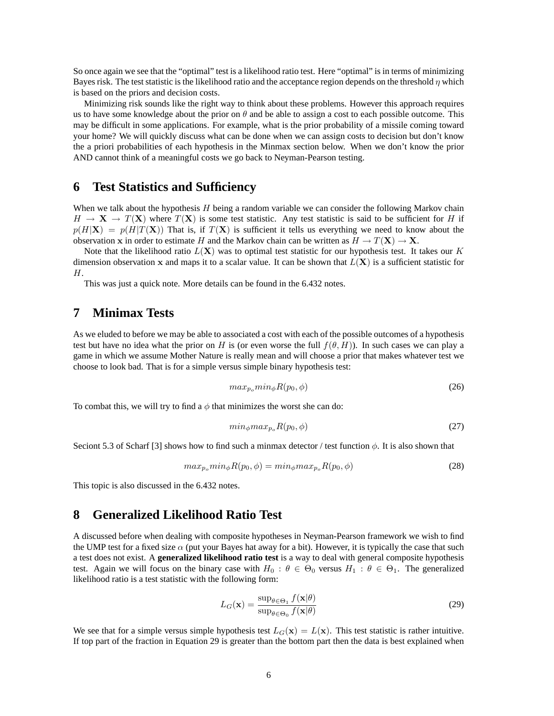So once again we see that the "optimal" test is a likelihood ratio test. Here "optimal" is in terms of minimizing Bayes risk. The test statistic is the likelihood ratio and the acceptance region depends on the threshold  $\eta$  which is based on the priors and decision costs.

Minimizing risk sounds like the right way to think about these problems. However this approach requires us to have some knowledge about the prior on  $\theta$  and be able to assign a cost to each possible outcome. This may be difficult in some applications. For example, what is the prior probability of a missile coming toward your home? We will quickly discuss what can be done when we can assign costs to decision but don't know the a priori probabilities of each hypothesis in the Minmax section below. When we don't know the prior AND cannot think of a meaningful costs we go back to Neyman-Pearson testing.

### **6 Test Statistics and Sufficiency**

When we talk about the hypothesis  $H$  being a random variable we can consider the following Markov chain  $H \to X \to T(X)$  where  $T(X)$  is some test statistic. Any test statistic is said to be sufficient for H if  $p(H|\mathbf{X}) = p(H|T(\mathbf{X}))$  That is, if  $T(\mathbf{X})$  is sufficient it tells us everything we need to know about the observation x in order to estimate H and the Markov chain can be written as  $H \to T(\mathbf{X}) \to \mathbf{X}$ .

Note that the likelihood ratio  $L(X)$  was to optimal test statistic for our hypothesis test. It takes our K dimension observation x and maps it to a scalar value. It can be shown that  $L(X)$  is a sufficient statistic for H.

This was just a quick note. More details can be found in the 6.432 notes.

# **7 Minimax Tests**

As we eluded to before we may be able to associated a cost with each of the possible outcomes of a hypothesis test but have no idea what the prior on H is (or even worse the full  $f(\theta, H)$ ). In such cases we can play a game in which we assume Mother Nature is really mean and will choose a prior that makes whatever test we choose to look bad. That is for a simple versus simple binary hypothesis test:

$$
max_{p_o} min_{\phi} R(p_0, \phi) \tag{26}
$$

To combat this, we will try to find a  $\phi$  that minimizes the worst she can do:

$$
min_{\phi} max_{p_o} R(p_0, \phi) \tag{27}
$$

Seciont 5.3 of Scharf [3] shows how to find such a minmax detector / test function  $\phi$ . It is also shown that

$$
max_{p_o} min_{\phi} R(p_0, \phi) = min_{\phi} max_{p_o} R(p_0, \phi)
$$
\n(28)

This topic is also discussed in the 6.432 notes.

# **8 Generalized Likelihood Ratio Test**

A discussed before when dealing with composite hypotheses in Neyman-Pearson framework we wish to find the UMP test for a fixed size  $\alpha$  (put your Bayes hat away for a bit). However, it is typically the case that such a test does not exist. A **generalized likelihood ratio test** is a way to deal with general composite hypothesis test. Again we will focus on the binary case with  $H_0$ :  $\theta \in \Theta_0$  versus  $H_1$ :  $\theta \in \Theta_1$ . The generalized likelihood ratio is a test statistic with the following form:

$$
L_G(\mathbf{x}) = \frac{\sup_{\theta \in \Theta_1} f(\mathbf{x}|\theta)}{\sup_{\theta \in \Theta_0} f(\mathbf{x}|\theta)}
$$
(29)

We see that for a simple versus simple hypothesis test  $L_G(\mathbf{x}) = L(\mathbf{x})$ . This test statistic is rather intuitive. If top part of the fraction in Equation 29 is greater than the bottom part then the data is best explained when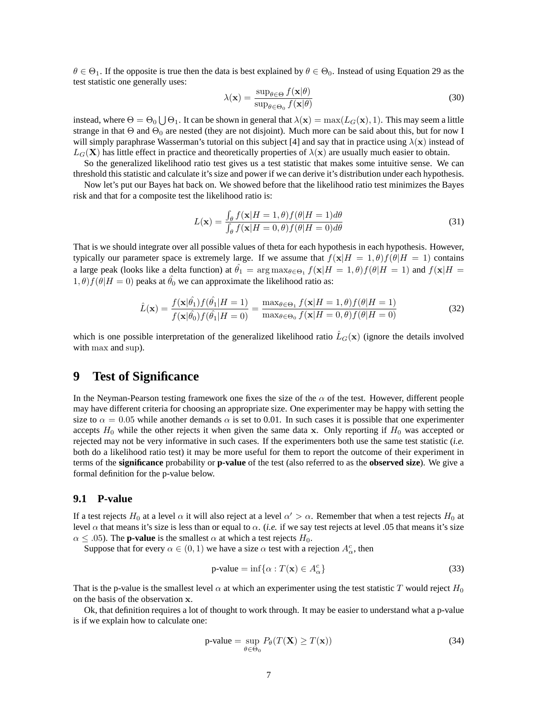$\theta \in \Theta_1$ . If the opposite is true then the data is best explained by  $\theta \in \Theta_0$ . Instead of using Equation 29 as the test statistic one generally uses:

$$
\lambda(\mathbf{x}) = \frac{\sup_{\theta \in \Theta} f(\mathbf{x}|\theta)}{\sup_{\theta \in \Theta_0} f(\mathbf{x}|\theta)}
$$
(30)

instead, where  $\Theta=\Theta_0\bigcup\Theta_1$ . It can be shown in general that  $\lambda({\bf x})=\max(L_G({\bf x}),1)$ . This may seem a little strange in that  $\Theta$  and  $\Theta_0$  are nested (they are not disjoint). Much more can be said about this, but for now I will simply paraphrase Wasserman's tutorial on this subject [4] and say that in practice using  $\lambda(x)$  instead of  $L_G(\mathbf{X})$  has little effect in practice and theoretically properties of  $\lambda(\mathbf{x})$  are usually much easier to obtain.

So the generalized likelihood ratio test gives us a test statistic that makes some intuitive sense. We can threshold this statistic and calculate it's size and power if we can derive it's distribution under each hypothesis.

Now let's put our Bayes hat back on. We showed before that the likelihood ratio test minimizes the Bayes risk and that for a composite test the likelihood ratio is:

$$
L(\mathbf{x}) = \frac{\int_{\theta} f(\mathbf{x}|H=1,\theta) f(\theta|H=1)d\theta}{\int_{\theta} f(\mathbf{x}|H=0,\theta) f(\theta|H=0)d\theta}
$$
(31)

That is we should integrate over all possible values of theta for each hypothesis in each hypothesis. However, typically our parameter space is extremely large. If we assume that  $f(x|H = 1, \theta)f(\theta|H = 1)$  contains a large peak (looks like a delta function) at  $\hat{\theta_1} = \arg \max_{\theta \in \Theta_1} f(x|H = 1, \theta) f(\theta|H = 1)$  and  $f(x|H = 1, \theta) f(x|H = 1)$  $(1, \theta) f(\theta)H = 0$ ) peaks at  $\hat{\theta}_0$  we can approximate the likelihood ratio as:

$$
\hat{L}(\mathbf{x}) = \frac{f(\mathbf{x}|\hat{\theta}_1)f(\hat{\theta}_1|H=1)}{f(\mathbf{x}|\hat{\theta}_0)f(\hat{\theta}_1|H=0)} = \frac{\max_{\theta \in \Theta_1} f(\mathbf{x}|H=1, \theta)f(\theta|H=1)}{\max_{\theta \in \Theta_0} f(\mathbf{x}|H=0, \theta)f(\theta|H=0)}
$$
(32)

which is one possible interpretation of the generalized likelihood ratio  $\hat{L}_G(\mathbf{x})$  (ignore the details involved with max and sup).

# **9 Test of Significance**

In the Neyman-Pearson testing framework one fixes the size of the  $\alpha$  of the test. However, different people may have different criteria for choosing an appropriate size. One experimenter may be happy with setting the size to  $\alpha = 0.05$  while another demands  $\alpha$  is set to 0.01. In such cases it is possible that one experimenter accepts  $H_0$  while the other rejects it when given the same data x. Only reporting if  $H_0$  was accepted or rejected may not be very informative in such cases. If the experimenters both use the same test statistic (*i.e.* both do a likelihood ratio test) it may be more useful for them to report the outcome of their experiment in terms of the **significance** probability or **p-value** of the test (also referred to as the **observed size**). We give a formal definition for the p-value below.

#### **9.1 P-value**

If a test rejects  $H_0$  at a level  $\alpha$  it will also reject at a level  $\alpha'>\alpha$ . Remember that when a test rejects  $H_0$  at level  $\alpha$  that means it's size is less than or equal to  $\alpha$ . (*i.e.* if we say test rejects at level .05 that means it's size  $\alpha \leq .05$ ). The **p-value** is the smallest  $\alpha$  at which a test rejects  $H_0$ .

Suppose that for every  $\alpha \in (0,1)$  we have a size  $\alpha$  test with a rejection  $A_{\alpha}^c$ , then

$$
p-value = \inf \{ \alpha : T(\mathbf{x}) \in A_{\alpha}^{c} \}
$$
\n(33)

That is the p-value is the smallest level  $\alpha$  at which an experimenter using the test statistic T would reject  $H_0$ on the basis of the observation x.

Ok, that definition requires a lot of thought to work through. It may be easier to understand what a p-value is if we explain how to calculate one:

$$
p\text{-value} = \sup_{\theta \in \Theta_0} P_{\theta}(T(\mathbf{X}) \ge T(\mathbf{x})) \tag{34}
$$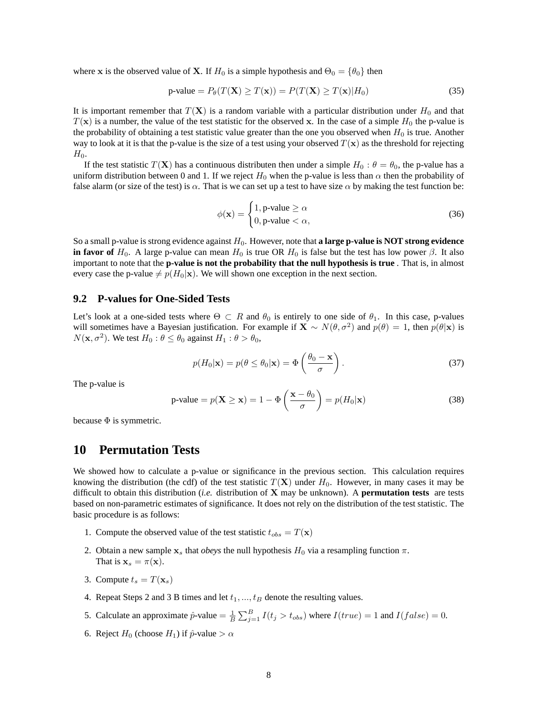where x is the observed value of X. If  $H_0$  is a simple hypothesis and  $\Theta_0 = {\theta_0}$  then

$$
p\text{-value} = P_{\theta}(T(\mathbf{X}) \ge T(\mathbf{x})) = P(T(\mathbf{X}) \ge T(\mathbf{x}) | H_0)
$$
\n(35)

It is important remember that  $T(\mathbf{X})$  is a random variable with a particular distribution under  $H_0$  and that  $T(\mathbf{x})$  is a number, the value of the test statistic for the observed x. In the case of a simple  $H_0$  the p-value is the probability of obtaining a test statistic value greater than the one you observed when  $H_0$  is true. Another way to look at it is that the p-value is the size of a test using your observed  $T(x)$  as the threshold for rejecting  $H_0$ .

If the test statistic  $T(\mathbf{X})$  has a continuous distributen then under a simple  $H_0$ :  $\theta = \theta_0$ , the p-value has a uniform distribution between 0 and 1. If we reject  $H_0$  when the p-value is less than  $\alpha$  then the probability of false alarm (or size of the test) is  $\alpha$ . That is we can set up a test to have size  $\alpha$  by making the test function be:

$$
\phi(\mathbf{x}) = \begin{cases} 1, \text{p-value} \ge \alpha \\ 0, \text{p-value} < \alpha, \end{cases} \tag{36}
$$

So a small p-value is strong evidence against H0. However, note that **a large p-value is NOT strong evidence in favor of** H<sub>0</sub>. A large p-value can mean H<sub>0</sub> is true OR H<sub>0</sub> is false but the test has low power  $\beta$ . It also important to note that the **p-value is not the probability that the null hypothesis is true** . That is, in almost every case the p-value  $\neq p(H_0|\mathbf{x})$ . We will shown one exception in the next section.

#### **9.2 P-values for One-Sided Tests**

Let's look at a one-sided tests where  $\Theta \subset R$  and  $\theta_0$  is entirely to one side of  $\theta_1$ . In this case, p-values will sometimes have a Bayesian justification. For example if  $X \sim N(\theta, \sigma^2)$  and  $p(\theta) = 1$ , then  $p(\theta|x)$  is  $N(\mathbf{x}, \sigma^2)$ . We test  $H_0: \theta \le \theta_0$  against  $H_1: \theta > \theta_0$ ,

$$
p(H_0|\mathbf{x}) = p(\theta \le \theta_0|\mathbf{x}) = \Phi\left(\frac{\theta_0 - \mathbf{x}}{\sigma}\right).
$$
 (37)

The p-value is

$$
p\text{-value} = p(\mathbf{X} \ge \mathbf{x}) = 1 - \Phi\left(\frac{\mathbf{x} - \theta_0}{\sigma}\right) = p(H_0|\mathbf{x}) \tag{38}
$$

because  $\Phi$  is symmetric.

## **10 Permutation Tests**

We showed how to calculate a p-value or significance in the previous section. This calculation requires knowing the distribution (the cdf) of the test statistic  $T(X)$  under  $H_0$ . However, in many cases it may be difficult to obtain this distribution (*i.e.* distribution of X may be unknown). A **permutation tests** are tests based on non-parametric estimates of significance. It does not rely on the distribution of the test statistic. The basic procedure is as follows:

- 1. Compute the observed value of the test statistic  $t_{obs} = T(\mathbf{x})$
- 2. Obtain a new sample  $x_s$  that *obeys* the null hypothesis  $H_0$  via a resampling function  $\pi$ . That is  $\mathbf{x}_s = \pi(\mathbf{x})$ .
- 3. Compute  $t_s = T(\mathbf{x}_s)$
- 4. Repeat Steps 2 and 3 B times and let  $t_1, ..., t_B$  denote the resulting values.
- 5. Calculate an approximate  $\hat{p}$ -value  $= \frac{1}{B} \sum_{j=1}^{B} I(t_j > t_{obs})$  where  $I(true) = 1$  and  $I(false) = 0$ .
- 6. Reject  $H_0$  (choose  $H_1$ ) if  $\hat{p}$ -value  $> \alpha$